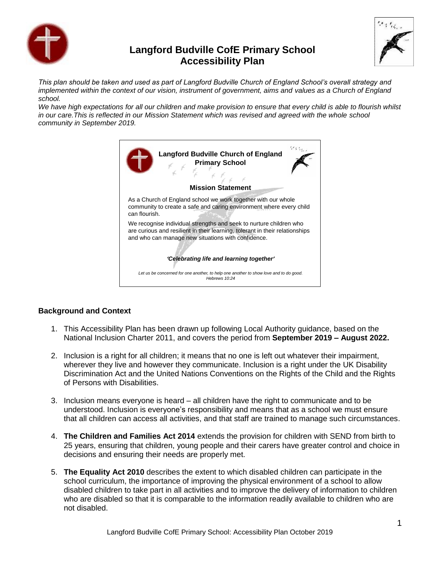

# **Langford Budville CofE Primary School Accessibility Plan**



*This plan should be taken and used as part of Langford Budville Church of England School's overall strategy and implemented within the context of our vision, instrument of government, aims and values as a Church of England school.*

*We have high expectations for all our children and make provision to ensure that every child is able to flourish whilst in our care.This is reflected in our Mission Statement which was revised and agreed with the whole school community in September 2019.*

| <b>Langford Budville Church of England</b><br><b>Primary School</b><br><b>Mission Statement</b>                                                                                                          |  |  |  |  |  |
|----------------------------------------------------------------------------------------------------------------------------------------------------------------------------------------------------------|--|--|--|--|--|
| As a Church of England school we work together with our whole<br>community to create a safe and caring environment where every child<br>can flourish.                                                    |  |  |  |  |  |
| We recognise individual strengths and seek to nurture children who<br>are curious and resilient in their learning, tolerant in their relationships<br>and who can manage new situations with confidence. |  |  |  |  |  |
| 'Celebrating life and learning together'                                                                                                                                                                 |  |  |  |  |  |
| Let us be concerned for one another, to help one another to show love and to do good.<br>Hehrews $10.24$                                                                                                 |  |  |  |  |  |

#### **Background and Context**

- 1. This Accessibility Plan has been drawn up following Local Authority guidance, based on the National Inclusion Charter 2011, and covers the period from **September 2019 – August 2022.**
- 2. Inclusion is a right for all children; it means that no one is left out whatever their impairment, wherever they live and however they communicate. Inclusion is a right under the UK Disability Discrimination Act and the United Nations Conventions on the Rights of the Child and the Rights of Persons with Disabilities.
- 3. Inclusion means everyone is heard all children have the right to communicate and to be understood. Inclusion is everyone's responsibility and means that as a school we must ensure that all children can access all activities, and that staff are trained to manage such circumstances.
- 4. **The Children and Families Act 2014** extends the provision for children with SEND from birth to 25 years, ensuring that children, young people and their carers have greater control and choice in decisions and ensuring their needs are properly met.
- 5. **The Equality Act 2010** describes the extent to which disabled children can participate in the school curriculum, the importance of improving the physical environment of a school to allow disabled children to take part in all activities and to improve the delivery of information to children who are disabled so that it is comparable to the information readily available to children who are not disabled.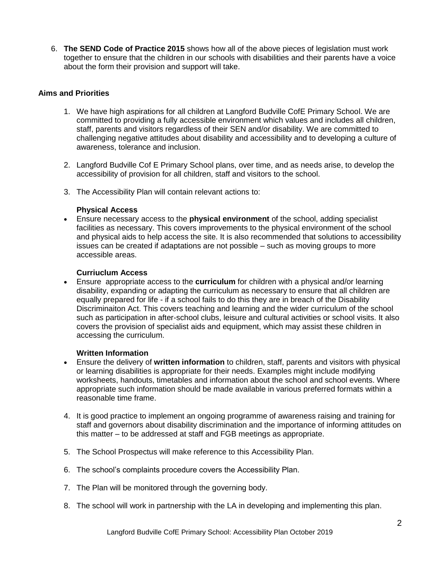6. **The SEND Code of Practice 2015** shows how all of the above pieces of legislation must work together to ensure that the children in our schools with disabilities and their parents have a voice about the form their provision and support will take.

#### **Aims and Priorities**

- 1. We have high aspirations for all children at Langford Budville CofE Primary School. We are committed to providing a fully accessible environment which values and includes all children, staff, parents and visitors regardless of their SEN and/or disability. We are committed to challenging negative attitudes about disability and accessibility and to developing a culture of awareness, tolerance and inclusion.
- 2. Langford Budville Cof E Primary School plans, over time, and as needs arise, to develop the accessibility of provision for all children, staff and visitors to the school.
- 3. The Accessibility Plan will contain relevant actions to:

#### **Physical Access**

 Ensure necessary access to the **physical environment** of the school, adding specialist facilities as necessary. This covers improvements to the physical environment of the school and physical aids to help access the site. It is also recommended that solutions to accessibility issues can be created if adaptations are not possible – such as moving groups to more accessible areas.

#### **Curriuclum Access**

 Ensure appropriate access to the **curriculum** for children with a physical and/or learning disability, expanding or adapting the curriculum as necessary to ensure that all children are equally prepared for life - if a school fails to do this they are in breach of the Disability Discriminaiton Act. This covers teaching and learning and the wider curriculum of the school such as participation in after-school clubs, leisure and cultural activities or school visits. It also covers the provision of specialist aids and equipment, which may assist these children in accessing the curriculum.

#### **Written Information**

- Ensure the delivery of **written information** to children, staff, parents and visitors with physical or learning disabilities is appropriate for their needs. Examples might include modifying worksheets, handouts, timetables and information about the school and school events. Where appropriate such information should be made available in various preferred formats within a reasonable time frame.
- 4. It is good practice to implement an ongoing programme of awareness raising and training for staff and governors about disability discrimination and the importance of informing attitudes on this matter – to be addressed at staff and FGB meetings as appropriate.
- 5. The School Prospectus will make reference to this Accessibility Plan.
- 6. The school's complaints procedure covers the Accessibility Plan.
- 7. The Plan will be monitored through the governing body.
- 8. The school will work in partnership with the LA in developing and implementing this plan.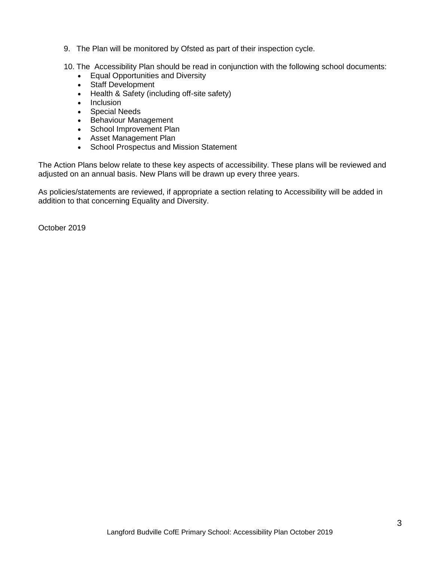- 9. The Plan will be monitored by Ofsted as part of their inspection cycle.
- 10. The Accessibility Plan should be read in conjunction with the following school documents:
	- Equal Opportunities and Diversity
	- Staff Development
	- Health & Safety (including off-site safety)
	- Inclusion
	- Special Needs
	- Behaviour Management
	- School Improvement Plan
	- Asset Management Plan
	- School Prospectus and Mission Statement

The Action Plans below relate to these key aspects of accessibility. These plans will be reviewed and adjusted on an annual basis. New Plans will be drawn up every three years.

As policies/statements are reviewed, if appropriate a section relating to Accessibility will be added in addition to that concerning Equality and Diversity.

October 2019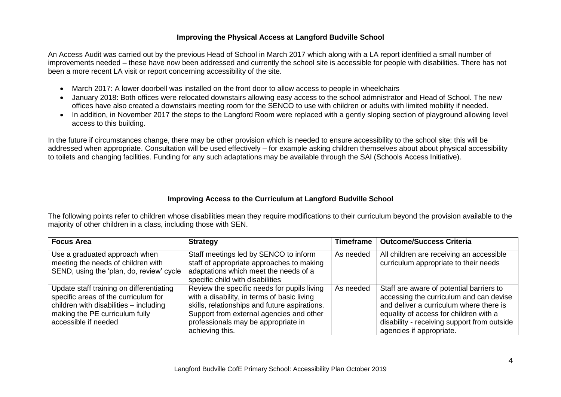### **Improving the Physical Access at Langford Budville School**

An Access Audit was carried out by the previous Head of School in March 2017 which along with a LA report idenfitied a small number of improvements needed – these have now been addressed and currently the school site is accessible for people with disabilities. There has not been a more recent LA visit or report concerning accessibility of the site.

- March 2017: A lower doorbell was installed on the front door to allow access to people in wheelchairs
- January 2018: Both offices were relocated downstairs allowing easy access to the school admnistrator and Head of School. The new offices have also created a downstairs meeting room for the SENCO to use with children or adults with limited mobility if needed.
- In addition, in November 2017 the steps to the Langford Room were replaced with a gently sloping section of playground allowing level access to this building.

In the future if circumstances change, there may be other provision which is needed to ensure accessibility to the school site; this will be addressed when appropriate. Consultation will be used effectively – for example asking children themselves about about physical accessibility to toilets and changing facilities. Funding for any such adaptations may be available through the SAI (Schools Access Initiative).

## **Improving Access to the Curriculum at Langford Budville School**

The following points refer to children whose disabilities mean they require modifications to their curriculum beyond the provision available to the majority of other children in a class, including those with SEN.

| <b>Focus Area</b>                                                                                                                                                                    | <b>Strategy</b>                                                                                                                                                                                                                                   | <b>Timeframe</b> | <b>Outcome/Success Criteria</b>                                                                                                                                                                                                                     |
|--------------------------------------------------------------------------------------------------------------------------------------------------------------------------------------|---------------------------------------------------------------------------------------------------------------------------------------------------------------------------------------------------------------------------------------------------|------------------|-----------------------------------------------------------------------------------------------------------------------------------------------------------------------------------------------------------------------------------------------------|
| Use a graduated approach when<br>meeting the needs of children with<br>SEND, using the 'plan, do, review' cycle                                                                      | Staff meetings led by SENCO to inform<br>staff of appropriate approaches to making<br>adaptations which meet the needs of a<br>specific child with disabilities                                                                                   | As needed        | All children are receiving an accessible<br>curriculum appropriate to their needs                                                                                                                                                                   |
| Update staff training on differentiating<br>specific areas of the curriculum for<br>children with disabilities - including<br>making the PE curriculum fully<br>accessible if needed | Review the specific needs for pupils living<br>with a disability, in terms of basic living<br>skills, relationships and future aspirations.<br>Support from external agencies and other<br>professionals may be appropriate in<br>achieving this. | As needed        | Staff are aware of potential barriers to<br>accessing the curriculum and can devise<br>and deliver a curriculum where there is<br>equality of access for children with a<br>disability - receiving support from outside<br>agencies if appropriate. |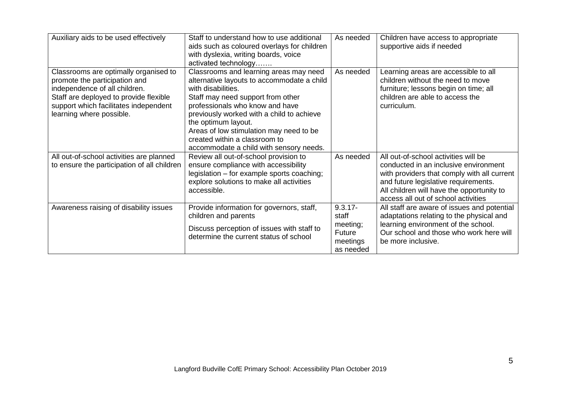| Auxiliary aids to be used effectively                                                                                                                                                                                  | Staff to understand how to use additional<br>aids such as coloured overlays for children<br>with dyslexia, writing boards, voice<br>activated technology                                                                                                                                                                                                                      | As needed                                                          | Children have access to appropriate<br>supportive aids if needed                                                                                                                                                                                         |
|------------------------------------------------------------------------------------------------------------------------------------------------------------------------------------------------------------------------|-------------------------------------------------------------------------------------------------------------------------------------------------------------------------------------------------------------------------------------------------------------------------------------------------------------------------------------------------------------------------------|--------------------------------------------------------------------|----------------------------------------------------------------------------------------------------------------------------------------------------------------------------------------------------------------------------------------------------------|
| Classrooms are optimally organised to<br>promote the participation and<br>independence of all children.<br>Staff are deployed to provide flexible<br>support which facilitates independent<br>learning where possible. | Classrooms and learning areas may need<br>alternative layouts to accommodate a child<br>with disabilities.<br>Staff may need support from other<br>professionals who know and have<br>previously worked with a child to achieve<br>the optimum layout.<br>Areas of low stimulation may need to be<br>created within a classroom to<br>accommodate a child with sensory needs. | As needed                                                          | Learning areas are accessible to all<br>children without the need to move<br>furniture; lessons begin on time; all<br>children are able to access the<br>curriculum.                                                                                     |
| All out-of-school activities are planned<br>to ensure the participation of all children                                                                                                                                | Review all out-of-school provision to<br>ensure compliance with accessibility<br>legislation - for example sports coaching;<br>explore solutions to make all activities<br>accessible.                                                                                                                                                                                        | As needed                                                          | All out-of-school activities will be<br>conducted in an inclusive environment<br>with providers that comply with all current<br>and future legislative requirements.<br>All children will have the opportunity to<br>access all out of school activities |
| Awareness raising of disability issues                                                                                                                                                                                 | Provide information for governors, staff,<br>children and parents<br>Discuss perception of issues with staff to<br>determine the current status of school                                                                                                                                                                                                                     | $9.3.17 -$<br>staff<br>meeting;<br>Future<br>meetings<br>as needed | All staff are aware of issues and potential<br>adaptations relating to the physical and<br>learning environment of the school.<br>Our school and those who work here will<br>be more inclusive.                                                          |